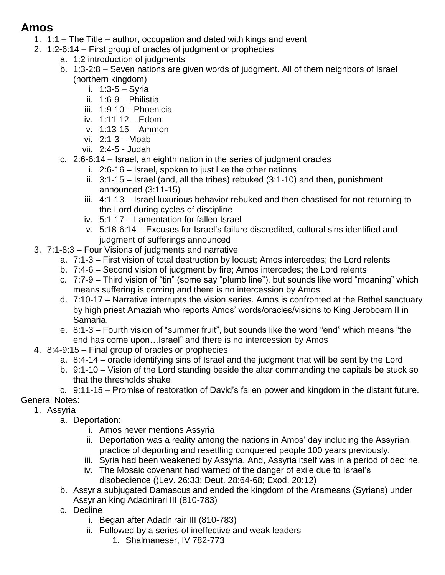## **Amos**

- 1. 1:1 The Title author, occupation and dated with kings and event
- 2. 1:2-6:14 First group of oracles of judgment or prophecies
	- a. 1:2 introduction of judgments
	- b. 1:3-2:8 Seven nations are given words of judgment. All of them neighbors of Israel (northern kingdom)
		- i. 1:3-5 Syria
		- ii. 1:6-9 Philistia
		- iii. 1:9-10 Phoenicia
		- iv. 1:11-12 Edom
		- v. 1:13-15 Ammon
		- vi. 2:1-3 Moab
		- vii. 2:4-5 Judah
	- c. 2:6-6:14 Israel, an eighth nation in the series of judgment oracles
		- i. 2:6-16 Israel, spoken to just like the other nations
		- ii. 3:1-15 Israel (and, all the tribes) rebuked (3:1-10) and then, punishment announced (3:11-15)
		- iii. 4:1-13 Israel luxurious behavior rebuked and then chastised for not returning to the Lord during cycles of discipline
		- iv. 5:1-17 Lamentation for fallen Israel
		- v. 5:18-6:14 Excuses for Israel's failure discredited, cultural sins identified and judgment of sufferings announced
- 3. 7:1-8:3 Four Visions of judgments and narrative
	- a. 7:1-3 First vision of total destruction by locust; Amos intercedes; the Lord relents
	- b. 7:4-6 Second vision of judgment by fire; Amos intercedes; the Lord relents
	- c. 7:7-9 Third vision of "tin" (some say "plumb line"), but sounds like word "moaning" which means suffering is coming and there is no intercession by Amos
	- d. 7:10-17 Narrative interrupts the vision series. Amos is confronted at the Bethel sanctuary by high priest Amaziah who reports Amos' words/oracles/visions to King Jeroboam II in Samaria.
	- e. 8:1-3 Fourth vision of "summer fruit", but sounds like the word "end" which means "the end has come upon…Israel" and there is no intercession by Amos
- 4. 8:4-9:15 Final group of oracles or prophecies
	- a. 8:4-14 oracle identifying sins of Israel and the judgment that will be sent by the Lord
	- b. 9:1-10 Vision of the Lord standing beside the altar commanding the capitals be stuck so that the thresholds shake
- c. 9:11-15 Promise of restoration of David's fallen power and kingdom in the distant future. General Notes:
	- 1. Assyria
		- a. Deportation:
			- i. Amos never mentions Assyria
			- ii. Deportation was a reality among the nations in Amos' day including the Assyrian practice of deporting and resettling conquered people 100 years previously.
			- iii. Syria had been weakened by Assyria. And, Assyria itself was in a period of decline.
			- iv. The Mosaic covenant had warned of the danger of exile due to Israel's disobedience ()Lev. 26:33; Deut. 28:64-68; Exod. 20:12)
		- b. Assyria subjugated Damascus and ended the kingdom of the Arameans (Syrians) under Assyrian king Adadnirari III (810-783)
		- c. Decline
			- i. Began after Adadnirair III (810-783)
			- ii. Followed by a series of ineffective and weak leaders
				- 1. Shalmaneser, IV 782-773